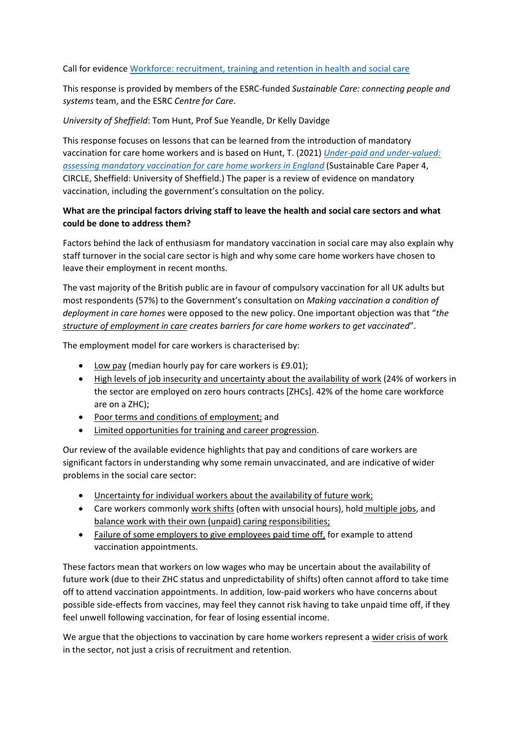Call for evidence [Workforce: recruitment, training and retention in health and social care](https://committees.parliament.uk/call-for-evidence/638/)

This response is provided by members of the ESRC-funded *Sustainable Care: connecting people and systems* team, and the ESRC *Centre for Care*.

## *University of Sheffield*: Tom Hunt, Prof Sue Yeandle, Dr Kelly Davidge

This response focuses on lessons that can be learned from the introduction of mandatory vaccination for care home workers and is based on Hunt, T. (2021) *[Under-paid and under-valued:](http://circle.group.shef.ac.uk/wp-content/uploads/2021/10/Mandatory-vaccinations-for-care-home-workers_final.pdf)  [assessing mandatory vaccination for care home workers in England](http://circle.group.shef.ac.uk/wp-content/uploads/2021/10/Mandatory-vaccinations-for-care-home-workers_final.pdf)* (Sustainable Care Paper 4, CIRCLE, Sheffield: University of Sheffield.) The paper is a review of evidence on mandatory vaccination, including the government's consultation on the policy.

## **What are the principal factors driving staff to leave the health and social care sectors and what could be done to address them?**

Factors behind the lack of enthusiasm for mandatory vaccination in social care may also explain why staff turnover in the social care sector is high and why some care home workers have chosen to leave their employment in recent months.

The vast majority of the British public are in favour of compulsory vaccination for all UK adults but most respondents (57%) to the Government's consultation on *Making vaccination a condition of deployment in care homes* were opposed to the new policy. One important objection was that "*the structure of employment in care creates barriers for care home workers to get vaccinated*".

The employment model for care workers is characterised by:

- Low pay (median hourly pay for care workers is £9.01);
- High levels of job insecurity and uncertainty about the availability of work (24% of workers in the sector are employed on zero hours contracts [ZHCs]. 42% of the home care workforce are on a ZHC);
- Poor terms and conditions of employment; and
- Limited opportunities for training and career progression.

Our review of the available evidence highlights that pay and conditions of care workers are significant factors in understanding why some remain unvaccinated, and are indicative of wider problems in the social care sector:

- Uncertainty for individual workers about the availability of future work;
- Care workers commonly work shifts (often with unsocial hours), hold multiple jobs, and balance work with their own (unpaid) caring responsibilities;
- Failure of some employers to give employees paid time off, for example to attend vaccination appointments.

These factors mean that workers on low wages who may be uncertain about the availability of future work (due to their ZHC status and unpredictability of shifts) often cannot afford to take time off to attend vaccination appointments. In addition, low-paid workers who have concerns about possible side-effects from vaccines, may feel they cannot risk having to take unpaid time off, if they feel unwell following vaccination, for fear of losing essential income.

We argue that the objections to vaccination by care home workers represent a wider crisis of work in the sector, not just a crisis of recruitment and retention.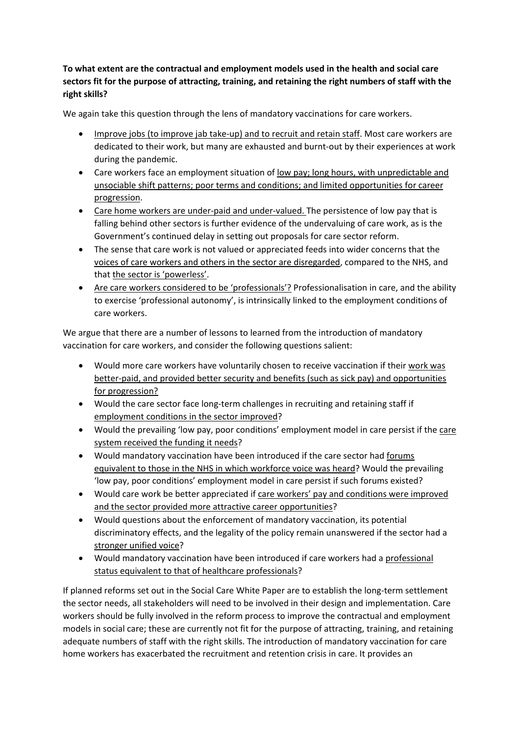## **To what extent are the contractual and employment models used in the health and social care sectors fit for the purpose of attracting, training, and retaining the right numbers of staff with the right skills?**

We again take this question through the lens of mandatory vaccinations for care workers.

- Improve jobs (to improve jab take-up) and to recruit and retain staff. Most care workers are dedicated to their work, but many are exhausted and burnt-out by their experiences at work during the pandemic.
- Care workers face an employment situation of low pay; long hours, with unpredictable and unsociable shift patterns; poor terms and conditions; and limited opportunities for career progression.
- Care home workers are under-paid and under-valued. The persistence of low pay that is falling behind other sectors is further evidence of the undervaluing of care work, as is the Government's continued delay in setting out proposals for care sector reform.
- The sense that care work is not valued or appreciated feeds into wider concerns that the voices of care workers and others in the sector are disregarded, compared to the NHS, and that the sector is 'powerless'.
- Are care workers considered to be 'professionals'? Professionalisation in care, and the ability to exercise 'professional autonomy', is intrinsically linked to the employment conditions of care workers.

We argue that there are a number of lessons to learned from the introduction of mandatory vaccination for care workers, and consider the following questions salient:

- Would more care workers have voluntarily chosen to receive vaccination if their work was better-paid, and provided better security and benefits (such as sick pay) and opportunities for progression?
- Would the care sector face long-term challenges in recruiting and retaining staff if employment conditions in the sector improved?
- Would the prevailing 'low pay, poor conditions' employment model in care persist if the care system received the funding it needs?
- Would mandatory vaccination have been introduced if the care sector had forums equivalent to those in the NHS in which workforce voice was heard? Would the prevailing 'low pay, poor conditions' employment model in care persist if such forums existed?
- Would care work be better appreciated if care workers' pay and conditions were improved and the sector provided more attractive career opportunities?
- Would questions about the enforcement of mandatory vaccination, its potential discriminatory effects, and the legality of the policy remain unanswered if the sector had a stronger unified voice?
- Would mandatory vaccination have been introduced if care workers had a professional status equivalent to that of healthcare professionals?

If planned reforms set out in the Social Care White Paper are to establish the long-term settlement the sector needs, all stakeholders will need to be involved in their design and implementation. Care workers should be fully involved in the reform process to improve the contractual and employment models in social care; these are currently not fit for the purpose of attracting, training, and retaining adequate numbers of staff with the right skills. The introduction of mandatory vaccination for care home workers has exacerbated the recruitment and retention crisis in care. It provides an